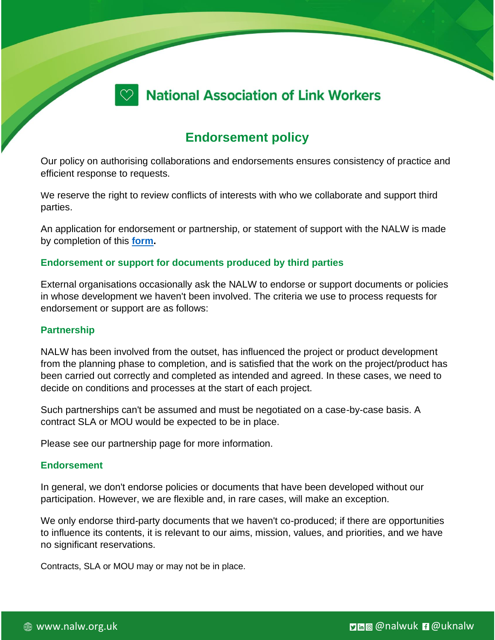

# **Endorsement policy**

Our policy on authorising collaborations and endorsements ensures consistency of practice and efficient response to requests.

We reserve the right to review conflicts of interests with who we collaborate and support third parties.

An application for endorsement or partnership, or statement of support with the NALW is made by completion of this **[form.](https://www.nalw.org.uk/wp-content/uploads/2022/06/NALW-Partnership_endorsement_statement-of-support-request.docx)**

## **Endorsement or support for documents produced by third parties**

External organisations occasionally ask the NALW to endorse or support documents or policies in whose development we haven't been involved. The criteria we use to process requests for endorsement or support are as follows:

## **Partnership**

NALW has been involved from the outset, has influenced the project or product development from the planning phase to completion, and is satisfied that the work on the project/product has been carried out correctly and completed as intended and agreed. In these cases, we need to decide on conditions and processes at the start of each project.

Such partnerships can't be assumed and must be negotiated on a case-by-case basis. A contract SLA or MOU would be expected to be in place.

Please see our partnership page for more information.

#### **Endorsement**

In general, we don't endorse policies or documents that have been developed without our participation. However, we are flexible and, in rare cases, will make an exception.

We only endorse third-party documents that we haven't co-produced; if there are opportunities to influence its contents, it is relevant to our aims, mission, values, and priorities, and we have no significant reservations.

Contracts, SLA or MOU may or may not be in place.